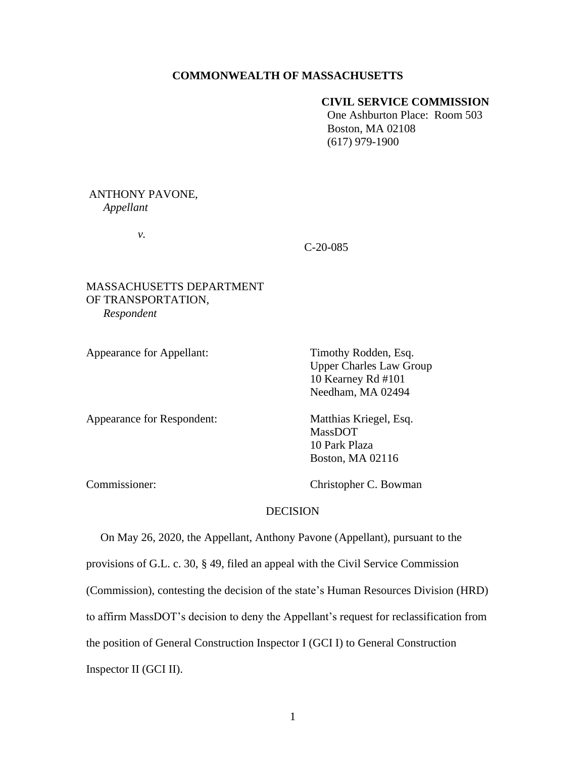## **COMMONWEALTH OF MASSACHUSETTS**

## **CIVIL SERVICE COMMISSION**

One Ashburton Place: Room 503 Boston, MA 02108 (617) 979-1900

### ANTHONY PAVONE, *Appellant*

*v.*

### C-20-085

# MASSACHUSETTS DEPARTMENT OF TRANSPORTATION, *Respondent*

Appearance for Appellant: Timothy Rodden, Esq. Upper Charles Law Group 10 Kearney Rd #101 Needham, MA 02494

Appearance for Respondent: Matthias Kriegel, Esq.

MassDOT 10 Park Plaza Boston, MA 02116

Commissioner: Christopher C. Bowman

## DECISION

 On May 26, 2020, the Appellant, Anthony Pavone (Appellant), pursuant to the provisions of G.L. c. 30, § 49, filed an appeal with the Civil Service Commission (Commission), contesting the decision of the state's Human Resources Division (HRD) to affirm MassDOT's decision to deny the Appellant's request for reclassification from the position of General Construction Inspector I (GCI I) to General Construction Inspector II (GCI II).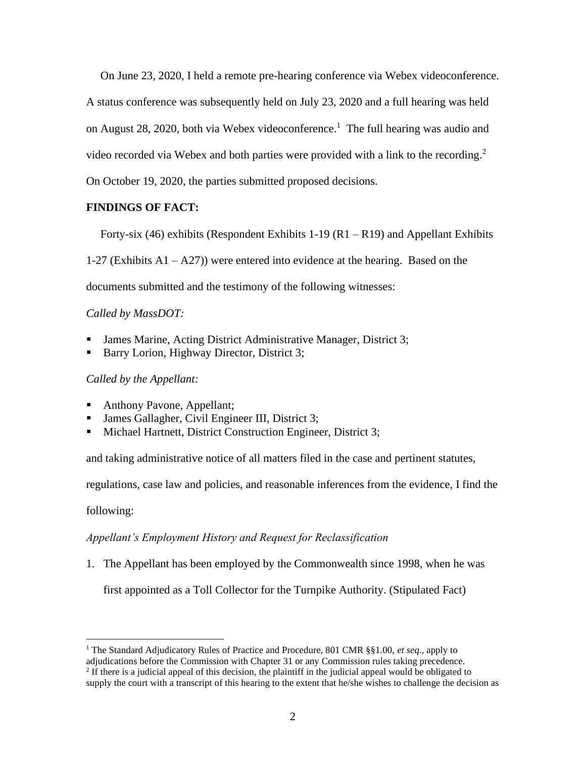On June 23, 2020, I held a remote pre-hearing conference via Webex videoconference.

A status conference was subsequently held on July 23, 2020 and a full hearing was held

on August 28, 2020, both via Webex videoconference. 1 The full hearing was audio and

video recorded via Webex and both parties were provided with a link to the recording.<sup>2</sup>

On October 19, 2020, the parties submitted proposed decisions.

# **FINDINGS OF FACT:**

Forty-six (46) exhibits (Respondent Exhibits 1-19 (R1 – R19) and Appellant Exhibits

1-27 (Exhibits  $A1 - A27$ ) were entered into evidence at the hearing. Based on the

documents submitted and the testimony of the following witnesses:

# *Called by MassDOT:*

- James Marine, Acting District Administrative Manager, District 3;
- Barry Lorion, Highway Director, District 3;

*Called by the Appellant:*

- Anthony Pavone, Appellant;
- James Gallagher, Civil Engineer III, District 3;
- Michael Hartnett, District Construction Engineer, District 3;

and taking administrative notice of all matters filed in the case and pertinent statutes,

regulations, case law and policies, and reasonable inferences from the evidence, I find the

following:

# *Appellant's Employment History and Request for Reclassification*

1. The Appellant has been employed by the Commonwealth since 1998, when he was

first appointed as a Toll Collector for the Turnpike Authority. (Stipulated Fact)

<sup>1</sup> The Standard Adjudicatory Rules of Practice and Procedure, 801 CMR §§1.00, *et seq*., apply to

adjudications before the Commission with Chapter 31 or any Commission rules taking precedence.

 $2$  If there is a judicial appeal of this decision, the plaintiff in the judicial appeal would be obligated to supply the court with a transcript of this hearing to the extent that he/she wishes to challenge the decision as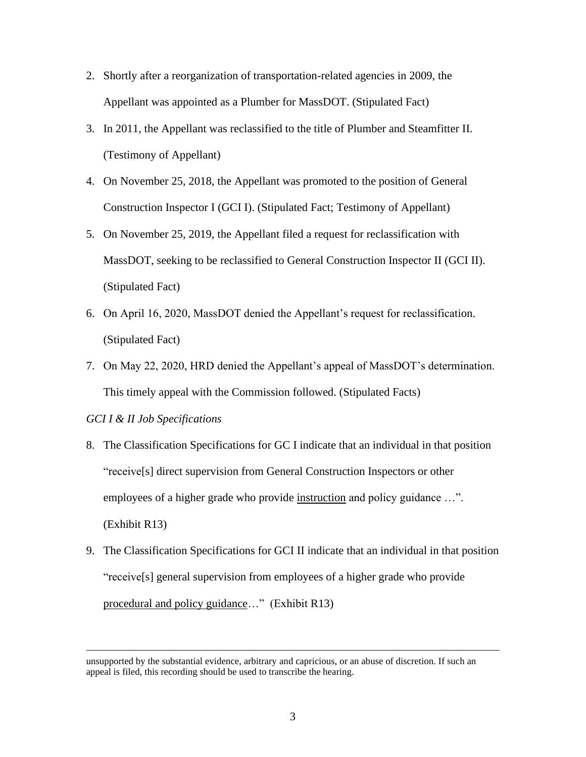- 2. Shortly after a reorganization of transportation-related agencies in 2009, the Appellant was appointed as a Plumber for MassDOT. (Stipulated Fact)
- 3. In 2011, the Appellant was reclassified to the title of Plumber and Steamfitter II. (Testimony of Appellant)
- 4. On November 25, 2018, the Appellant was promoted to the position of General Construction Inspector I (GCI I). (Stipulated Fact; Testimony of Appellant)
- 5. On November 25, 2019, the Appellant filed a request for reclassification with MassDOT, seeking to be reclassified to General Construction Inspector II (GCI II). (Stipulated Fact)
- 6. On April 16, 2020, MassDOT denied the Appellant's request for reclassification. (Stipulated Fact)
- 7. On May 22, 2020, HRD denied the Appellant's appeal of MassDOT's determination. This timely appeal with the Commission followed. (Stipulated Facts)

### *GCI I & II Job Specifications*

- 8. The Classification Specifications for GC I indicate that an individual in that position "receive[s] direct supervision from General Construction Inspectors or other employees of a higher grade who provide instruction and policy guidance ...". (Exhibit R13)
- 9. The Classification Specifications for GCI II indicate that an individual in that position "receive[s] general supervision from employees of a higher grade who provide procedural and policy guidance…" (Exhibit R13)

unsupported by the substantial evidence, arbitrary and capricious, or an abuse of discretion. If such an appeal is filed, this recording should be used to transcribe the hearing.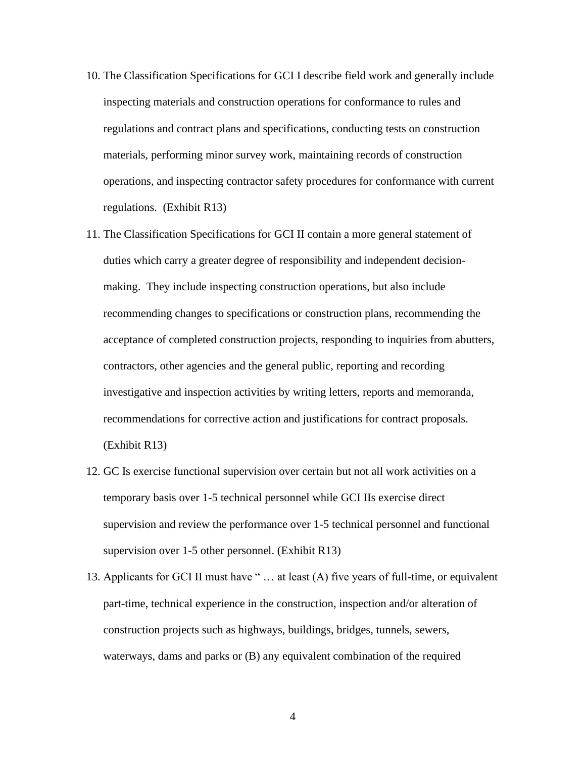- 10. The Classification Specifications for GCI I describe field work and generally include inspecting materials and construction operations for conformance to rules and regulations and contract plans and specifications, conducting tests on construction materials, performing minor survey work, maintaining records of construction operations, and inspecting contractor safety procedures for conformance with current regulations. (Exhibit R13)
- 11. The Classification Specifications for GCI II contain a more general statement of duties which carry a greater degree of responsibility and independent decisionmaking. They include inspecting construction operations, but also include recommending changes to specifications or construction plans, recommending the acceptance of completed construction projects, responding to inquiries from abutters, contractors, other agencies and the general public, reporting and recording investigative and inspection activities by writing letters, reports and memoranda, recommendations for corrective action and justifications for contract proposals. (Exhibit R13)
- 12. GC Is exercise functional supervision over certain but not all work activities on a temporary basis over 1-5 technical personnel while GCI IIs exercise direct supervision and review the performance over 1-5 technical personnel and functional supervision over 1-5 other personnel. (Exhibit R13)
- 13. Applicants for GCI II must have " … at least (A) five years of full-time, or equivalent part-time, technical experience in the construction, inspection and/or alteration of construction projects such as highways, buildings, bridges, tunnels, sewers, waterways, dams and parks or (B) any equivalent combination of the required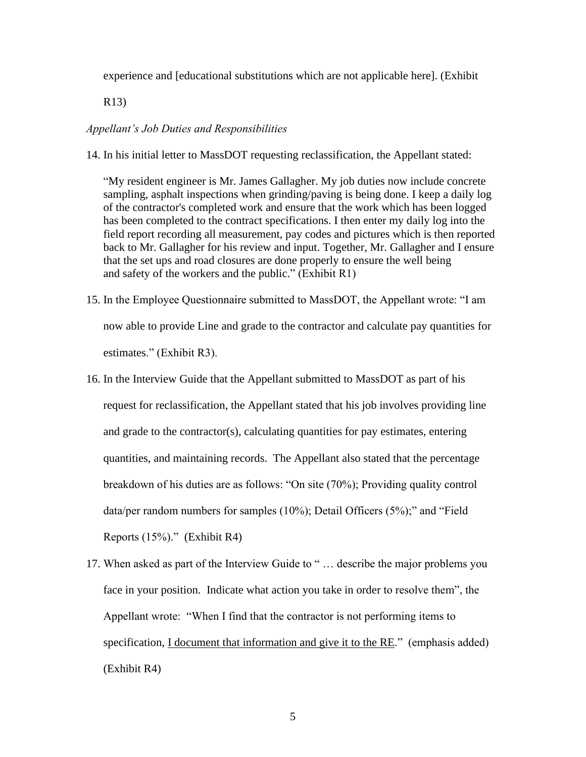experience and [educational substitutions which are not applicable here]. (Exhibit

R13)

#### *Appellant's Job Duties and Responsibilities*

14. In his initial letter to MassDOT requesting reclassification, the Appellant stated:

"My resident engineer is Mr. James Gallagher. My job duties now include concrete sampling, asphalt inspections when grinding/paving is being done. I keep a daily log of the contractor's completed work and ensure that the work which has been logged has been completed to the contract specifications. I then enter my daily log into the field report recording all measurement, pay codes and pictures which is then reported back to Mr. Gallagher for his review and input. Together, Mr. Gallagher and I ensure that the set ups and road closures are done properly to ensure the well being and safety of the workers and the public." (Exhibit R1)

- 15. In the Employee Questionnaire submitted to MassDOT, the Appellant wrote: "I am now able to provide Line and grade to the contractor and calculate pay quantities for estimates." (Exhibit R3).
- 16. In the Interview Guide that the Appellant submitted to MassDOT as part of his request for reclassification, the Appellant stated that his job involves providing line and grade to the contractor(s), calculating quantities for pay estimates, entering quantities, and maintaining records. The Appellant also stated that the percentage breakdown of his duties are as follows: "On site (70%); Providing quality control data/per random numbers for samples (10%); Detail Officers (5%);" and "Field Reports (15%)." (Exhibit R4)
- 17. When asked as part of the Interview Guide to " … describe the major problems you face in your position. Indicate what action you take in order to resolve them", the Appellant wrote: "When I find that the contractor is not performing items to specification, I document that information and give it to the RE." (emphasis added) (Exhibit R4)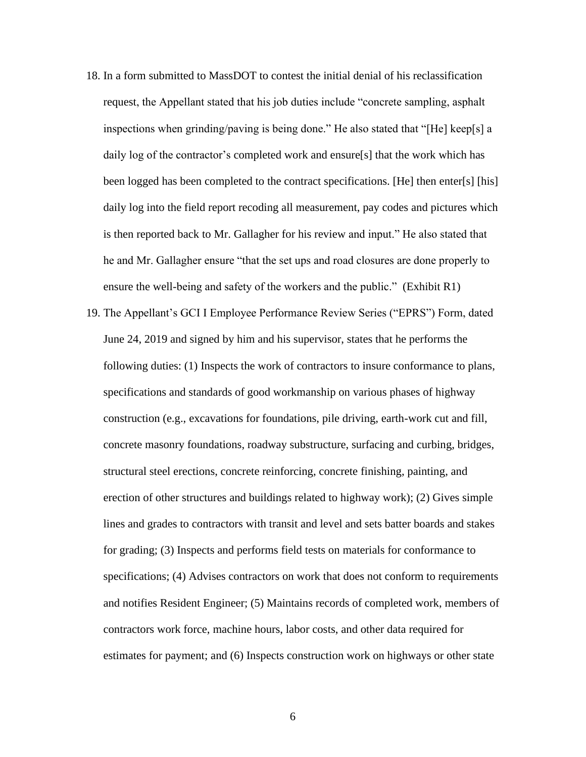- 18. In a form submitted to MassDOT to contest the initial denial of his reclassification request, the Appellant stated that his job duties include "concrete sampling, asphalt inspections when grinding/paving is being done." He also stated that "[He] keep[s] a daily log of the contractor's completed work and ensure[s] that the work which has been logged has been completed to the contract specifications. [He] then enter[s] [his] daily log into the field report recoding all measurement, pay codes and pictures which is then reported back to Mr. Gallagher for his review and input." He also stated that he and Mr. Gallagher ensure "that the set ups and road closures are done properly to ensure the well-being and safety of the workers and the public." (Exhibit R1)
- 19. The Appellant's GCI I Employee Performance Review Series ("EPRS") Form, dated June 24, 2019 and signed by him and his supervisor, states that he performs the following duties: (1) Inspects the work of contractors to insure conformance to plans, specifications and standards of good workmanship on various phases of highway construction (e.g., excavations for foundations, pile driving, earth-work cut and fill, concrete masonry foundations, roadway substructure, surfacing and curbing, bridges, structural steel erections, concrete reinforcing, concrete finishing, painting, and erection of other structures and buildings related to highway work); (2) Gives simple lines and grades to contractors with transit and level and sets batter boards and stakes for grading; (3) Inspects and performs field tests on materials for conformance to specifications; (4) Advises contractors on work that does not conform to requirements and notifies Resident Engineer; (5) Maintains records of completed work, members of contractors work force, machine hours, labor costs, and other data required for estimates for payment; and (6) Inspects construction work on highways or other state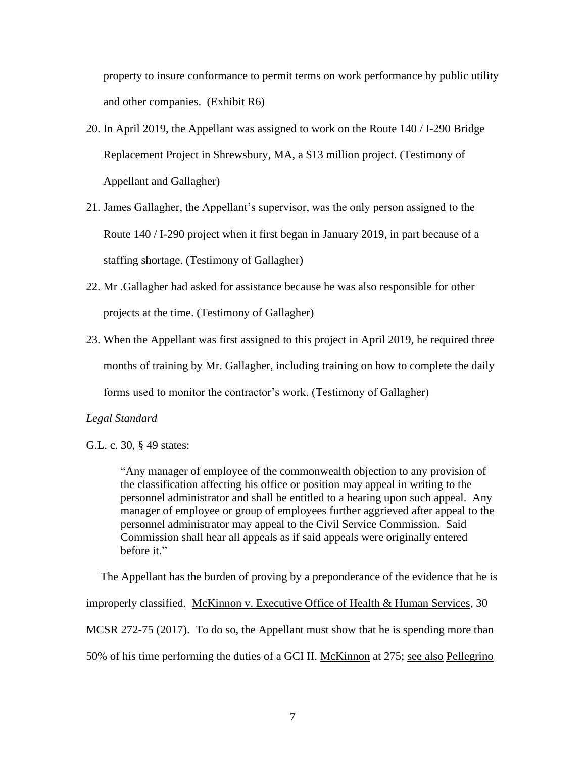property to insure conformance to permit terms on work performance by public utility and other companies. (Exhibit R6)

- 20. In April 2019, the Appellant was assigned to work on the Route 140 / I-290 Bridge Replacement Project in Shrewsbury, MA, a \$13 million project. (Testimony of Appellant and Gallagher)
- 21. James Gallagher, the Appellant's supervisor, was the only person assigned to the Route 140 / I-290 project when it first began in January 2019, in part because of a staffing shortage. (Testimony of Gallagher)
- 22. Mr .Gallagher had asked for assistance because he was also responsible for other projects at the time. (Testimony of Gallagher)
- 23. When the Appellant was first assigned to this project in April 2019, he required three months of training by Mr. Gallagher, including training on how to complete the daily forms used to monitor the contractor's work. (Testimony of Gallagher)

### *Legal Standard*

"Any manager of employee of the commonwealth objection to any provision of the classification affecting his office or position may appeal in writing to the personnel administrator and shall be entitled to a hearing upon such appeal. Any manager of employee or group of employees further aggrieved after appeal to the personnel administrator may appeal to the Civil Service Commission. Said Commission shall hear all appeals as if said appeals were originally entered before it."

 The Appellant has the burden of proving by a preponderance of the evidence that he is improperly classified. McKinnon v. Executive Office of Health & Human Services, 30 MCSR 272-75 (2017). To do so, the Appellant must show that he is spending more than 50% of his time performing the duties of a GCI II. McKinnon at 275; see also Pellegrino

G.L. c. 30, § 49 states: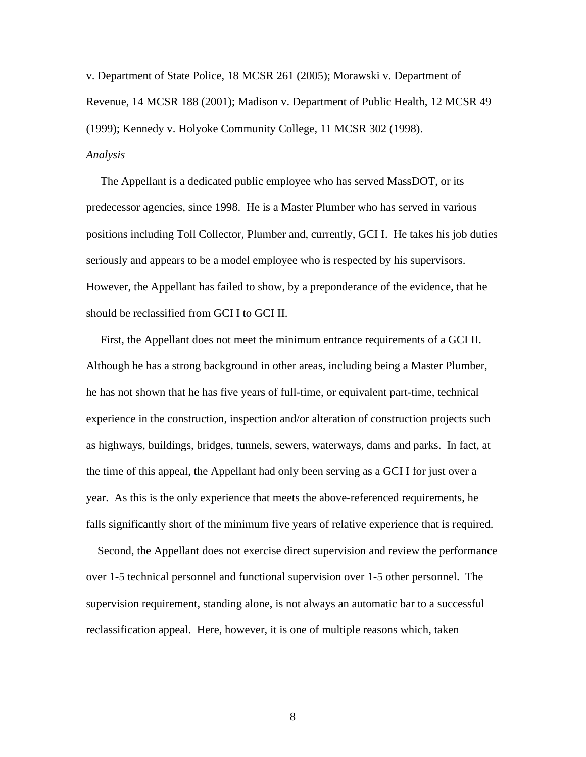v. Department of State Police, 18 MCSR 261 (2005); Morawski v. Department of Revenue, 14 MCSR 188 (2001); Madison v. Department of Public Health, 12 MCSR 49 (1999); Kennedy v. Holyoke Community College, 11 MCSR 302 (1998). *Analysis*

 The Appellant is a dedicated public employee who has served MassDOT, or its predecessor agencies, since 1998. He is a Master Plumber who has served in various positions including Toll Collector, Plumber and, currently, GCI I. He takes his job duties seriously and appears to be a model employee who is respected by his supervisors. However, the Appellant has failed to show, by a preponderance of the evidence, that he should be reclassified from GCI I to GCI II.

 First, the Appellant does not meet the minimum entrance requirements of a GCI II. Although he has a strong background in other areas, including being a Master Plumber, he has not shown that he has five years of full-time, or equivalent part-time, technical experience in the construction, inspection and/or alteration of construction projects such as highways, buildings, bridges, tunnels, sewers, waterways, dams and parks. In fact, at the time of this appeal, the Appellant had only been serving as a GCI I for just over a year. As this is the only experience that meets the above-referenced requirements, he falls significantly short of the minimum five years of relative experience that is required.

 Second, the Appellant does not exercise direct supervision and review the performance over 1-5 technical personnel and functional supervision over 1-5 other personnel. The supervision requirement, standing alone, is not always an automatic bar to a successful reclassification appeal. Here, however, it is one of multiple reasons which, taken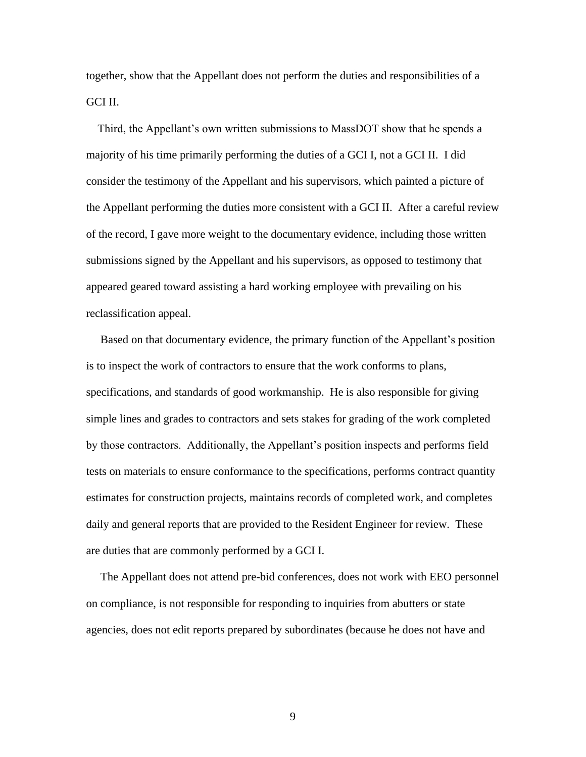together, show that the Appellant does not perform the duties and responsibilities of a GCI II.

 Third, the Appellant's own written submissions to MassDOT show that he spends a majority of his time primarily performing the duties of a GCI I, not a GCI II. I did consider the testimony of the Appellant and his supervisors, which painted a picture of the Appellant performing the duties more consistent with a GCI II. After a careful review of the record, I gave more weight to the documentary evidence, including those written submissions signed by the Appellant and his supervisors, as opposed to testimony that appeared geared toward assisting a hard working employee with prevailing on his reclassification appeal.

 Based on that documentary evidence, the primary function of the Appellant's position is to inspect the work of contractors to ensure that the work conforms to plans, specifications, and standards of good workmanship. He is also responsible for giving simple lines and grades to contractors and sets stakes for grading of the work completed by those contractors. Additionally, the Appellant's position inspects and performs field tests on materials to ensure conformance to the specifications, performs contract quantity estimates for construction projects, maintains records of completed work, and completes daily and general reports that are provided to the Resident Engineer for review. These are duties that are commonly performed by a GCI I.

 The Appellant does not attend pre-bid conferences, does not work with EEO personnel on compliance, is not responsible for responding to inquiries from abutters or state agencies, does not edit reports prepared by subordinates (because he does not have and